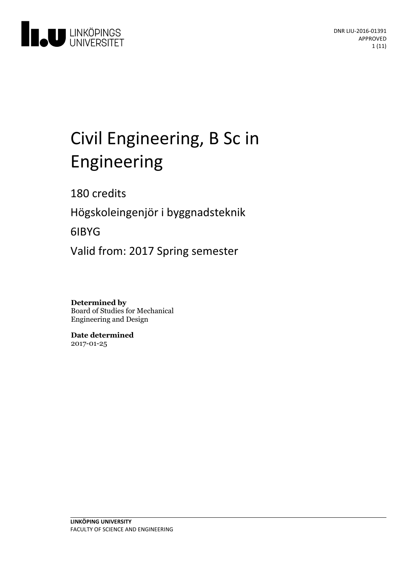

# Civil Engineering, B Sc in Engineering

180 credits

Högskoleingenjör i byggnadsteknik

6IBYG

Valid from: 2017 Spring semester

**Determined by** Board of Studies for Mechanical Engineering and Design

**Date determined** 2017-01-25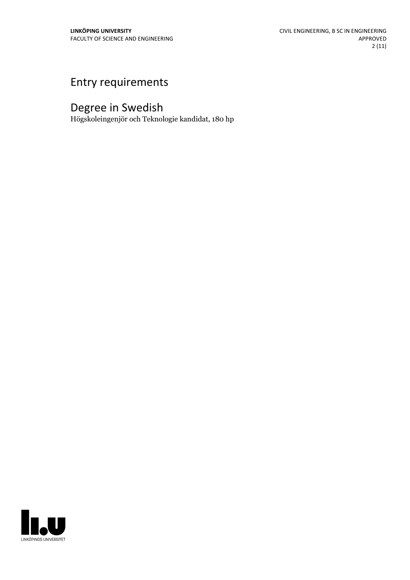# Entry requirements

# Degree in Swedish

Högskoleingenjör och Teknologie kandidat, 180 hp

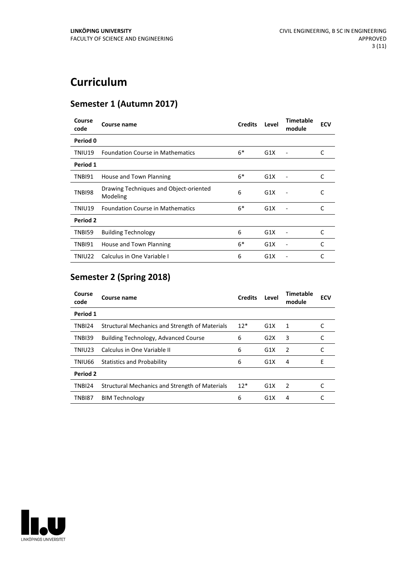# **Curriculum**

## **Semester 1 (Autumn 2017)**

| Course<br>code | Course name                                        | <b>Credits</b> | Level | <b>Timetable</b><br>module   | <b>ECV</b> |
|----------------|----------------------------------------------------|----------------|-------|------------------------------|------------|
| Period 0       |                                                    |                |       |                              |            |
| TNIU19         | <b>Foundation Course in Mathematics</b>            | $6*$           | G1X   | $\qquad \qquad \blacksquare$ | C          |
| Period 1       |                                                    |                |       |                              |            |
| TNBI91         | House and Town Planning                            | $6*$           | G1X   |                              | C          |
| TNBI98         | Drawing Techniques and Object-oriented<br>Modeling | 6              | G1X   |                              | C          |
| TNIU19         | <b>Foundation Course in Mathematics</b>            | $6*$           | G1X   |                              | C          |
| Period 2       |                                                    |                |       |                              |            |
| TNBI59         | <b>Building Technology</b>                         | 6              | G1X   |                              | C          |
| TNBI91         | House and Town Planning                            | $6*$           | G1X   |                              | C          |
| TNIU22         | Calculus in One Variable I                         | 6              | G1X   |                              | C          |

# **Semester 2 (Spring 2018)**

| Course<br>code | Course name                                    | <b>Credits</b> | Level            | <b>Timetable</b><br>module | <b>ECV</b> |
|----------------|------------------------------------------------|----------------|------------------|----------------------------|------------|
| Period 1       |                                                |                |                  |                            |            |
| TNBI24         | Structural Mechanics and Strength of Materials | $12*$          | G1X              | 1                          |            |
| TNBI39         | <b>Building Technology, Advanced Course</b>    | 6              | G2X              | 3                          |            |
| TNIU23         | Calculus in One Variable II                    | 6              | G1X              | 2                          |            |
| TNIU66         | <b>Statistics and Probability</b>              | 6              | G1X              | 4                          | Е          |
| Period 2       |                                                |                |                  |                            |            |
| TNBI24         | Structural Mechanics and Strength of Materials | $12*$          | G <sub>1</sub> X | 2                          |            |
| <b>TNBI87</b>  | <b>BIM Technology</b>                          | 6              | G <sub>1</sub> X | 4                          |            |

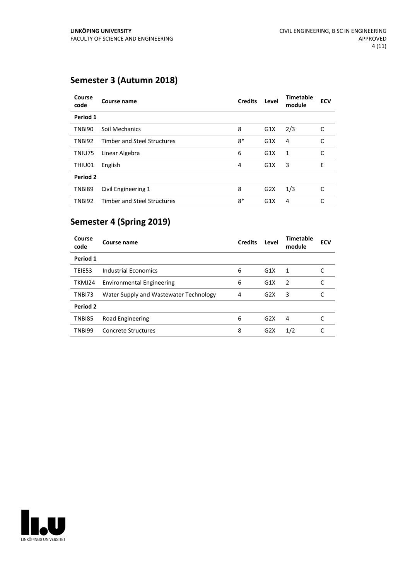### **Semester 3 (Autumn 2018)**

| Course<br>code | Course name                        | <b>Credits</b> | Level | <b>Timetable</b><br>module | <b>ECV</b> |
|----------------|------------------------------------|----------------|-------|----------------------------|------------|
| Period 1       |                                    |                |       |                            |            |
| TNBI90         | Soil Mechanics                     | 8              | G1X   | 2/3                        | C          |
| TNBI92         | <b>Timber and Steel Structures</b> | $8*$           | G1X   | 4                          | C          |
| TNIU75         | Linear Algebra                     | 6              | G1X   | 1                          | C          |
| THIU01         | English                            | 4              | G1X   | 3                          | E          |
| Period 2       |                                    |                |       |                            |            |
| <b>TNBI89</b>  | Civil Engineering 1                | 8              | G2X   | 1/3                        | C          |
| <b>TNBI92</b>  | <b>Timber and Steel Structures</b> | 8*             | G1X   | 4                          | C          |

### **Semester 4 (Spring 2019)**

| Course<br>code | Course name                            | <b>Credits</b> | Level            | <b>Timetable</b><br>module | <b>ECV</b> |
|----------------|----------------------------------------|----------------|------------------|----------------------------|------------|
| Period 1       |                                        |                |                  |                            |            |
| TEIE53         | Industrial Economics                   | 6              | G1X              | 1                          |            |
| TKMJ24         | <b>Environmental Engineering</b>       | 6              | G1X              | $\overline{2}$             |            |
| TNBI73         | Water Supply and Wastewater Technology | 4              | G2X              | 3                          |            |
| Period 2       |                                        |                |                  |                            |            |
| <b>TNBI85</b>  | Road Engineering                       | 6              | G2X              | 4                          |            |
| TNBI99         | Concrete Structures                    | 8              | G <sub>2</sub> X | 1/2                        |            |

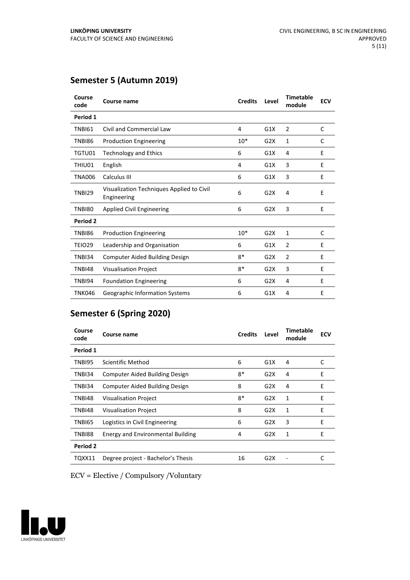### **Semester 5 (Autumn 2019)**

| Course<br>code | Course name                                              | <b>Credits</b> | Level | <b>Timetable</b><br>module | <b>ECV</b> |
|----------------|----------------------------------------------------------|----------------|-------|----------------------------|------------|
| Period 1       |                                                          |                |       |                            |            |
| <b>TNBI61</b>  | Civil and Commercial Law                                 | 4              | G1X   | $\overline{2}$             | C          |
| TNBI86         | <b>Production Engineering</b>                            | $10*$          | G2X   | 1                          | C          |
| TGTU01         | <b>Technology and Ethics</b>                             | 6              | G1X   | 4                          | E          |
| THIU01         | English                                                  | 4              | G1X   | 3                          | E          |
| <b>TNA006</b>  | Calculus III                                             | 6              | G1X   | 3                          | E          |
| <b>TNBI29</b>  | Visualization Techniques Applied to Civil<br>Engineering | 6              | G2X   | 4                          | E          |
| <b>TNBI80</b>  | <b>Applied Civil Engineering</b>                         | 6              | G2X   | 3                          | E          |
| Period 2       |                                                          |                |       |                            |            |
| TNBI86         | <b>Production Engineering</b>                            | $10*$          | G2X   | $\mathbf{1}$               | C          |
| TEIO29         | Leadership and Organisation                              | 6              | G1X   | $\overline{2}$             | E          |
| TNBI34         | <b>Computer Aided Building Design</b>                    | $8*$           | G2X   | $\overline{2}$             | E          |
| <b>TNBI48</b>  | <b>Visualisation Project</b>                             | $8*$           | G2X   | 3                          | E          |
| TNBI94         | <b>Foundation Engineering</b>                            | 6              | G2X   | 4                          | E          |
| <b>TNK046</b>  | Geographic Information Systems                           | 6              | G1X   | 4                          | E          |

### **Semester 6 (Spring 2020)**

| Course<br>code | Course name                              | <b>Credits</b> | Level | <b>Timetable</b><br>module | <b>ECV</b> |
|----------------|------------------------------------------|----------------|-------|----------------------------|------------|
| Period 1       |                                          |                |       |                            |            |
| TNBI95         | Scientific Method                        | 6              | G1X   | 4                          | C          |
| TNBI34         | <b>Computer Aided Building Design</b>    | $8*$           | G2X   | 4                          | E          |
| TNBI34         | <b>Computer Aided Building Design</b>    | 8              | G2X   | 4                          | E          |
| TNBI48         | <b>Visualisation Project</b>             | $8*$           | G2X   | 1                          | E          |
| TNBI48         | <b>Visualisation Project</b>             | 8              | G2X   | 1                          | E          |
| TNBI65         | Logistics in Civil Engineering           | 6              | G2X   | 3                          | F          |
| TNBI88         | <b>Energy and Environmental Building</b> | 4              | G2X   | 1                          | E          |
| Period 2       |                                          |                |       |                            |            |
| TQXX11         | Degree project - Bachelor's Thesis       | 16             | G2X   |                            | C          |

ECV = Elective / Compulsory /Voluntary

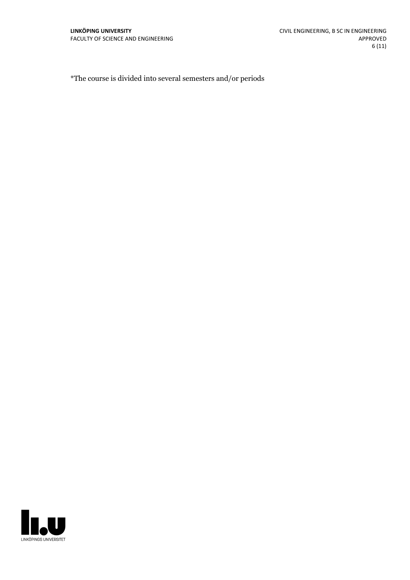\*The course is divided into several semesters and/or periods

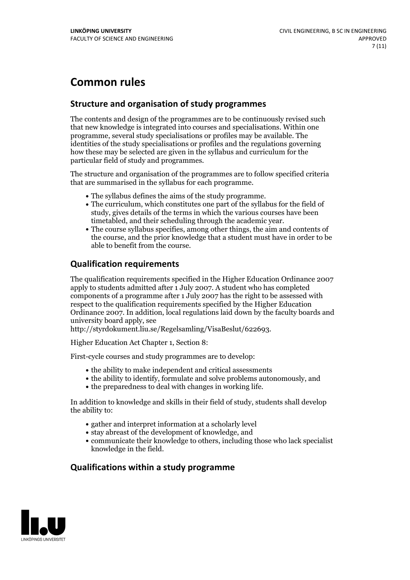# **Common rules**

#### **Structure and organisation of study programmes**

The contents and design of the programmes are to be continuously revised such that new knowledge is integrated into courses and specialisations. Within one programme, several study specialisations or profiles may be available. The identities of the study specialisations or profiles and the regulations governing how these may be selected are given in the syllabus and curriculum for the particular field of study and programmes.

The structure and organisation of the programmes are to follow specified criteria that are summarised in the syllabus for each programme.

- 
- The syllabus defines the aims of the study programme.<br>• The curriculum, which constitutes one part of the syllabus for the field of study, gives details of the terms in which the various courses have been
- The course syllabus specifies, among other things, the aim and contents of the course, and the prior knowledge that a student must have in order to be able to benefit from the course.

#### **Qualification requirements**

The qualification requirements specified in the Higher Education Ordinance 2007 apply to students admitted after 1 July 2007. A student who has completed components of a programme after 1 July 2007 has the right to be assessed with respect to the qualification requirements specified by the Higher Education Ordinance 2007. In addition, local regulations laid down by the faculty boards and university board apply, see

http://styrdokument.liu.se/Regelsamling/VisaBeslut/622693.

Higher Education Act Chapter 1, Section 8:

First-cycle courses and study programmes are to develop:

- the ability to make independent and critical assessments
- the ability to identify, formulate and solve problems autonomously, and
- the preparedness to deal with changes in working life.

In addition to knowledge and skills in their field of study, students shall develop the ability to:

- gather and interpret information at a scholarly level
- stay abreast of the development of knowledge, and
- communicate their knowledge to others, including those who lack specialist knowledge in the field.

#### **Qualifications within a study programme**

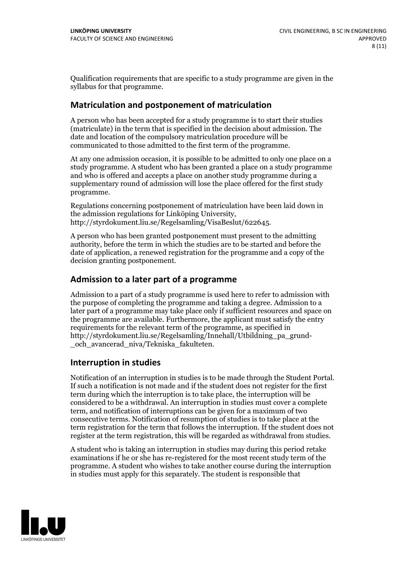Qualification requirements that are specific to a study programme are given in the syllabus for that programme.

#### **Matriculation and postponement of matriculation**

A person who has been accepted for a study programme is to start their studies (matriculate) in the term that is specified in the decision about admission. The date and location of the compulsory matriculation procedure will be communicated to those admitted to the first term of the programme.

At any one admission occasion, it is possible to be admitted to only one place on a study programme. A student who has been granted a place on a study programme and who is offered and accepts a place on another study programme during a supplementary round of admission will lose the place offered for the first study programme.

Regulations concerning postponement of matriculation have been laid down in the admission regulations for Linköping University, http://styrdokument.liu.se/Regelsamling/VisaBeslut/622645.

A person who has been granted postponement must present to the admitting authority, before the term in which the studies are to be started and before the date of application, a renewed registration for the programme and a copy of the decision granting postponement.

#### **Admission to a later part of a programme**

Admission to a part of a study programme is used here to refer to admission with the purpose of completing the programme and taking a degree. Admission to a later part of a programme may take place only if sufficient resources and space on the programme are available. Furthermore, the applicant must satisfy the entry requirements for the relevant term of the programme, as specified in http://styrdokument.liu.se/Regelsamling/Innehall/Utbildning\_pa\_grund- \_och\_avancerad\_niva/Tekniska\_fakulteten.

#### **Interruption in studies**

Notification of an interruption in studies is to be made through the Student Portal. If such <sup>a</sup> notification is not made and if the student does not register for the first term during which the interruption is to take place, the interruption will be considered to be a withdrawal. An interruption in studies must cover a complete term, and notification of interruptions can be given for a maximum of two consecutive terms. Notification of resumption of studies is to take place at the term registration for the term that follows the interruption. If the student does not register at the term registration, this will be regarded as withdrawal from studies.

A student who is taking an interruption in studies may during this period retake examinations if he or she has re-registered for the most recent study term of the programme. A student who wishes to take another course during the interruption in studies must apply for this separately. The student is responsible that

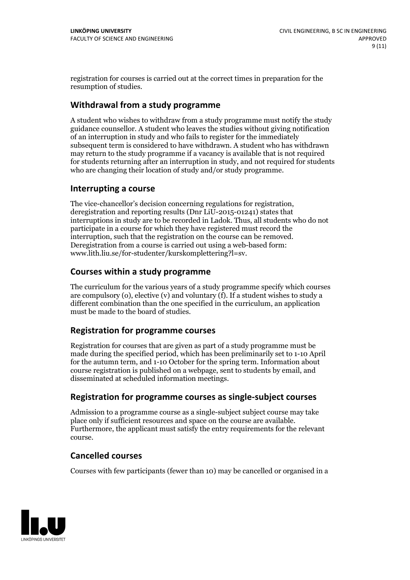registration for courses is carried outat the correct times in preparation for the resumption of studies.

#### **Withdrawal from a study programme**

A student who wishes to withdraw from a study programme must notify the study guidance counsellor. A student who leaves the studies without giving notification of an interruption in study and who fails to register for the immediately subsequent term is considered to have withdrawn. A student who has withdrawn may return to the study programme if a vacancy is available that is not required for students returning after an interruption in study, and not required for students who are changing their location of study and/or study programme.

#### **Interrupting a course**

The vice-chancellor's decision concerning regulations for registration, deregistration and reporting results (Dnr LiU-2015-01241) states that interruptions in study are to be recorded in Ladok. Thus, all students who do not participate in a course for which they have registered must record the interruption, such that the registration on the course can be removed. Deregistration from <sup>a</sup> course is carried outusing <sup>a</sup> web-based form: www.lith.liu.se/for-studenter/kurskomplettering?l=sv.

#### **Courses within a study programme**

The curriculum for the various years of a study programme specify which courses are compulsory (o), elective (v) and voluntary (f). If a student wishes to study a different combination than the one specified in the curriculum, an application must be made to the board of studies.

#### **Registration for programme courses**

Registration for courses that are given as part of a study programme must be made during the specified period, which has been preliminarily set to 1-10 April for the autumn term, and 1-10 October for the spring term. Information about course registration is published on a webpage, sent to students by email, and disseminated at scheduled information meetings.

#### **Registration for programme courses as single-subject courses**

Admission to a programme course as a single-subject subject course may take place only if sufficient resources and space on the course are available. Furthermore, the applicant must satisfy the entry requirements for the relevant course.

#### **Cancelled courses**

Courses with few participants (fewer than 10) may be cancelled or organised in a

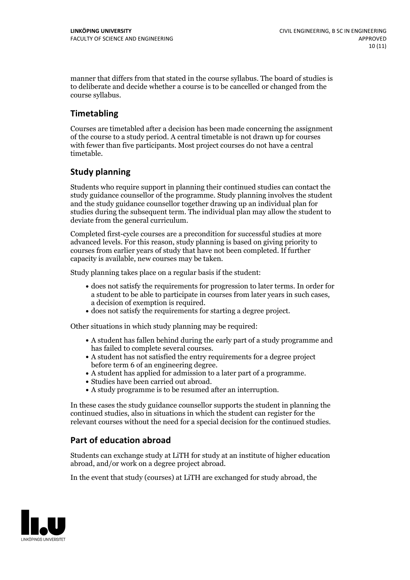manner that differs from that stated in the course syllabus. The board of studies is to deliberate and decide whether a course is to be cancelled orchanged from the course syllabus.

#### **Timetabling**

Courses are timetabled after a decision has been made concerning the assignment of the course to a study period. A central timetable is not drawn up for courses with fewer than five participants. Most project courses do not have a central timetable.

#### **Study planning**

Students who require support in planning their continued studies can contact the study guidance counsellor of the programme. Study planning involves the student and the study guidance counsellor together drawing up an individual plan for studies during the subsequent term. The individual plan may allow the student to deviate from the general curriculum.

Completed first-cycle courses are a precondition for successful studies at more advanced levels. For this reason, study planning is based on giving priority to courses from earlier years of study that have not been completed. If further capacity is available, new courses may be taken.

Study planning takes place on a regular basis if the student:

- does not satisfy the requirements for progression to later terms. In order for a student to be able to participate in courses from later years in such cases, a decision of exemption is required.<br>
• does not satisfy the requirements for starting a degree project.
- 

Other situations in which study planning may be required:

- A student has fallen behind during the early part of a study programme and
- has failed to complete several courses.<br>• A student has not satisfied the entry requirements for a degree project
- before term 6 of an engineering degree.<br>
 A student has applied for admission to a later part of a programme.<br>
 Studies have been carried out abroad.<br>
 A study programme is to be resumed after an interruption.
- 
- 

In these cases the study guidance counsellor supports the student in planning the continued studies, also in situations in which the student can register for the relevant courses without the need for a special decision for the continued studies.

#### **Part of education abroad**

Students can exchange study at LiTH for study at an institute of higher education abroad, and/or work on a degree project abroad.

In the event that study (courses) at LiTH are exchanged for study abroad, the